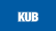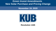# **Green Invest Amendments New Solar Purchase and Pricing Change**

**November 19, 2020**



#### **Resolution 1426**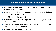# **Original Green Invest Agreement**

- First-of-its-kind agreement with TVA to purchase 212 MW of solar in March 2020
- Purchase includes solar output from two new installations
	- 177 MW Ridgely, TN
	- 35 MW Columbus, MS
- Represents 8% of KUB's system load or enough to serve 35,000 homes
- Solar scheduled to come on-line in fall 2022 (Columbus) and summer 2023 (Ridgely)
	- ◼ Annual cost \$825,000; 20-year term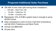# **Proposed Additional Solar Purchase**

290 MW of new solar split among three installations

- 200 MW West Point, MS
- 55 MW Tullahoma, TN
- 35 MW Columbus, MS
- Represents 12% of KUB's system load or enough to serve 48,000 homes
- Solar scheduled to come on-line in fall 2022 (Columbus) and fall 2023 (Tullahoma and West Point)
- Annual cost \$806,000
- 20-year term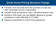# **Green Invest Pricing Structure Change**

- Provides more favorable terms for purchase of solar and other renewable sources of generation
- Includes small annual fee to cover TVA administrative costs
- Results in 30% lower unit cost (\$/MW) allowing for greater investment in solar (290 MW vs 212 MW)
- Requires amendment to Green Invest Agreement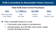# **KUB Committed to Renewable Power Sources**

### **Total KUB Green Invest Purchases**

| 502                 | <b>1.1 Billion</b> | 83,000        | 20%                |
|---------------------|--------------------|---------------|--------------------|
| <b>MW New Solar</b> | kWh.               | <b>Homes</b>  | KUB                |
| in the Valley       | per Year           | <b>Served</b> | <b>System Load</b> |

#### Other renewable projects to come

- Community solar project in development
- Self generation up to 80 MW under power supply contract flexibility provision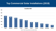### **Top Commercial Solar Installations (2019)**



*Source: Solar Energy Industries Association (SEIA)*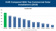### **KUB Compared With Top Commercial Solar Installations (2019)**



*Source: Solar Energy Industries Association (SEIA)*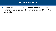## **Resolution 1426**

◼ Authorizes President and CEO to execute Green Invest amendments for pricing structure change and 290 MW of new solar purchases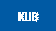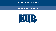## **Bond Sale Results**

### **November 19, 2020**

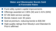### **Water and Wastewater Bonds Sold at Favorable Rates**

- Fund utility system capital improvements
- Offerings awarded at  $2.36\%$  (W) and  $2.41\%$  (WW)
- \$7.4M debt service savings
- Bonds mature over 30 years
- Sold at premium, reducing bonds to \$36.5M
- High-quality ratings from Moody's and Standard & Poor's affirmed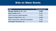# **Bids on Water Bonds**

| <b>Bidder</b>                                 | <b>True Interest Cost</b> |  |
|-----------------------------------------------|---------------------------|--|
| <b>Morgan Stanley &amp; Co., LLC</b>          | 2.359                     |  |
| Piper Sandler & Co.                           | 2.377                     |  |
| <b>FHN Financial Capital Markets</b>          | 2.378                     |  |
| Robert W. Baird & Co., Inc.                   | 2.460                     |  |
| <b>Wells Fargo Bank, National Association</b> | 2.519                     |  |
| Huntington Securities, Inc.                   | 2.557                     |  |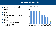# **Water Bond Profile**

- \$214M in outstanding bonds
- \$93M in interest cost
- **Principal paid in next** 10 years: 40%
- Debt ratio: 51%
- Weighted interest cost: 3.47%

#### **Water Debt Service – Millions (\$)**



**Existing Bonds New Bonds**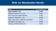# **Bids on Wastewater Bonds**

| <b>Bidder</b>                                 | <b>True Interest Cost</b> |  |
|-----------------------------------------------|---------------------------|--|
| <b>Piper Sandler &amp; Co.</b>                | 2.410                     |  |
| Morgan Stanley & Co., LLC                     | 2.423                     |  |
| <b>FHN Financial Capital Markets</b>          | 2.450                     |  |
| Robert W. Baird & Co., Inc.                   | 2.466                     |  |
| <b>Wells Fargo Bank, National Association</b> | 2.476                     |  |
| Huntington Securities, Inc.                   | 2.508                     |  |
| Citigroup Global Markets Inc.                 | 2.509                     |  |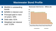# **Wastewater Bond Profile**

- \$540M in outstanding bonds
- \$258M in interest cost
- Principal paid in next 10 years: 33%
- Debt ratio: 61%
- Weighted net interest

#### **Wastewater Debt Service – Millions (\$)**



**Existing Bonds New Bonds**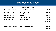# **Professional Fees**

| <b>Cost</b>              | <b>Professional Firm</b>      | Fee       |
|--------------------------|-------------------------------|-----------|
| <b>Financial Advisor</b> | <b>Cumberland Securities</b>  | \$63,000  |
| <b>Bond Counsel</b>      | <b>Bass, Berry &amp; Sims</b> | \$45,000  |
| <b>Rating Agency</b>     | <b>Moody's</b>                | \$40,000  |
| <b>Rating Agency</b>     | <b>Standard &amp; Poor's</b>  | \$31,000  |
| <b>Paying Agent</b>      | <b>Regions Bank</b>           | \$1,000   |
|                          |                               | \$180,000 |

**Other Costs (Escrow, POS, OS, Advertising) \$22,000 \$202,000**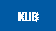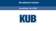### **Broadband Update**

#### **November 19, 2020**

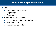## **What is Municipal Broadband?**

#### ■ Services

- High speed internet service
- TV packages
- Phone service
- Municipal business model
	- Fiber to the home built on utility backbone
	- Serves everyone
	- Homegrown, local solution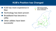# **KUB's Position has Changed**

- KUB has more experience in fiber
- Technology has been proven
- Broadband has become a utility
- Other utilities have been successful

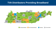### **TVA Distributors Providing Broadband**



**Providing Broadband** 

Evaluating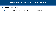# **Why are Distributors Doing This?**

#### ■ Electric reliability

• Fiber enables smart devices on electric system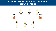### **Example: Before Distribution Automation Normal Condition**

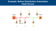### **Example: Before Distribution Automation Fault Occurs**

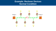**Example: Recloser Devices Normal Condition**

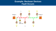### **Example: Recloser Devices Fault Occurs**

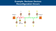**Example: Recloser Devices Reconfiguration Occurs**

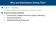# **Why are Distributors Doing This?**

### ■ Electric reliability

• Fiber enables smart devices on electric system

### ■ Environmental benefits

- Conservation Voltage Reduction (system efficiency)
- Demand Response
- Distributed Energy Resources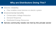# **Why are Distributors Doing This?**

### ■ Electric reliability

- Fiber enables smart devices on electric system
- Environmental benefits
	- Conservation Voltage Reduction
	- Demand Response
	- Distributed Energy Resources

Serves community needs not met by the private sector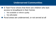### **Underserved Communities**

- E-Task Force shows that there are children who lack access to broadband in their homes
	- Not available or inferior quality
	- Not affordable
- Rural areas are underserved, or not served at all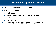## **Broadband Approval Process**

- Process established in State Law
- Formal Approvals
	- KUB Board
	- State of Tennessee Comptroller of the Treasury
	- TVA
	- **City Council**
- Required to have Open Forum for Customers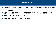## **What's Next**

- Winter: Board updates, one-on-one conversations with key stakeholders
- Spring: Potential recommendation for board consideration
- Summer: Public input on plans
- Fall: Formal approval process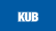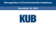# **Recognition of Environmental Initiatives**

### **November 19, 2020**

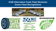### **KUB Alternative Fuels Fleet Receives Green Fleet Recognitions**







HEAVY рит TRUCKING

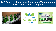### **KUB Receives Tennessee Sustainable Transportation Award for EV Rebate Program**





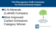**TVA Recognizes KUB Customer for Environmental Impact**

■**O-N Minerals** (Luttrell) Company ■Most Improved Carbon Emissions Category Winner





**Tennessee Valley Authority**